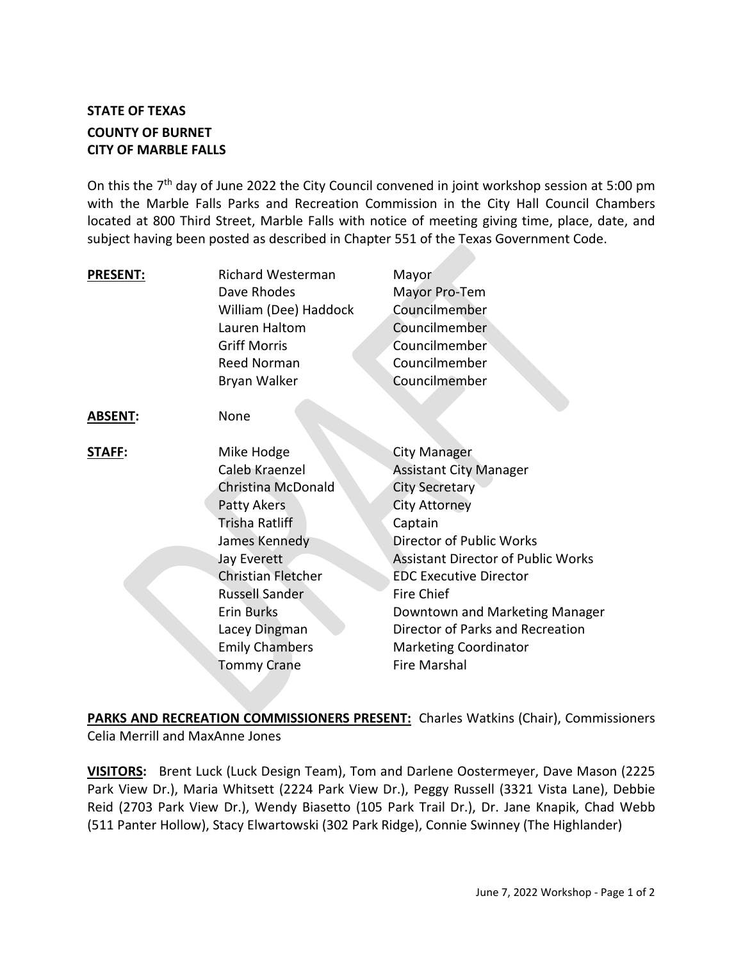## **STATE OF TEXAS COUNTY OF BURNET CITY OF MARBLE FALLS**

On this the 7<sup>th</sup> day of June 2022 the City Council convened in joint workshop session at 5:00 pm with the Marble Falls Parks and Recreation Commission in the City Hall Council Chambers located at 800 Third Street, Marble Falls with notice of meeting giving time, place, date, and subject having been posted as described in Chapter 551 of the Texas Government Code.

| <b>PRESENT:</b> | <b>Richard Westerman</b><br>Dave Rhodes<br>William (Dee) Haddock<br>Lauren Haltom<br><b>Griff Morris</b><br>Reed Norman<br>Bryan Walker                                                                                                                               | Mayor<br>Mayor Pro-Tem<br>Councilmember<br>Councilmember<br>Councilmember<br>Councilmember<br>Councilmember                                                                                                                                                                                                                                                                         |
|-----------------|-----------------------------------------------------------------------------------------------------------------------------------------------------------------------------------------------------------------------------------------------------------------------|-------------------------------------------------------------------------------------------------------------------------------------------------------------------------------------------------------------------------------------------------------------------------------------------------------------------------------------------------------------------------------------|
| <b>ABSENT:</b>  | None                                                                                                                                                                                                                                                                  |                                                                                                                                                                                                                                                                                                                                                                                     |
| <b>STAFF:</b>   | Mike Hodge<br>Caleb Kraenzel<br>Christina McDonald<br>Patty Akers<br>Trisha Ratliff<br>James Kennedy<br><b>Jay Everett</b><br><b>Christian Fletcher</b><br><b>Russell Sander</b><br><b>Erin Burks</b><br>Lacey Dingman<br><b>Emily Chambers</b><br><b>Tommy Crane</b> | <b>City Manager</b><br><b>Assistant City Manager</b><br><b>City Secretary</b><br><b>City Attorney</b><br>Captain<br><b>Director of Public Works</b><br><b>Assistant Director of Public Works</b><br><b>EDC Executive Director</b><br><b>Fire Chief</b><br>Downtown and Marketing Manager<br>Director of Parks and Recreation<br><b>Marketing Coordinator</b><br><b>Fire Marshal</b> |

**PARKS AND RECREATION COMMISSIONERS PRESENT:** Charles Watkins (Chair), Commissioners Celia Merrill and MaxAnne Jones

**VISITORS:** Brent Luck (Luck Design Team), Tom and Darlene Oostermeyer, Dave Mason (2225 Park View Dr.), Maria Whitsett (2224 Park View Dr.), Peggy Russell (3321 Vista Lane), Debbie Reid (2703 Park View Dr.), Wendy Biasetto (105 Park Trail Dr.), Dr. Jane Knapik, Chad Webb (511 Panter Hollow), Stacy Elwartowski (302 Park Ridge), Connie Swinney (The Highlander)